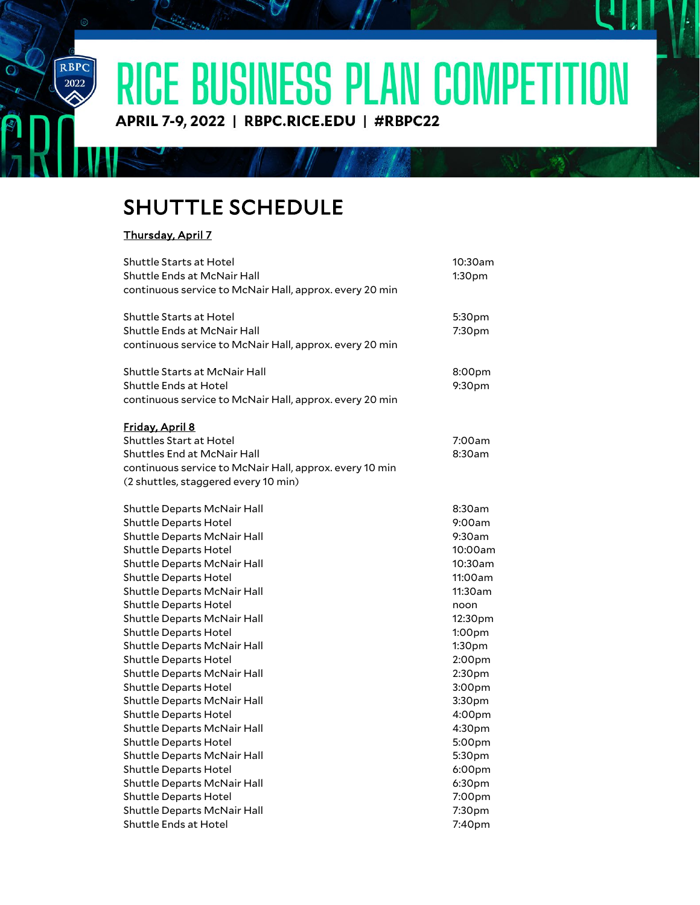RICE BUSINESS PLAN COMPETITION

APRIL 7-9, 2022 | RBPC.RICE.EDU | #RBPC22

## SHUTTLE SCHEDULE

## Thursday, April 7

RBPC

 $\overline{\overset{2022}{\bigotimes}}$ 

 $\overline{O}$ 

| <b>Shuttle Starts at Hotel</b><br>Shuttle Ends at McNair Hall<br>continuous service to McNair Hall, approx. every 20 min                                                                                                                                                                | 10:30am<br>1:30 <sub>pm</sub>                                                             |
|-----------------------------------------------------------------------------------------------------------------------------------------------------------------------------------------------------------------------------------------------------------------------------------------|-------------------------------------------------------------------------------------------|
| <b>Shuttle Starts at Hotel</b><br>Shuttle Ends at McNair Hall<br>continuous service to McNair Hall, approx. every 20 min                                                                                                                                                                | 5:30pm<br>7:30pm                                                                          |
| <b>Shuttle Starts at McNair Hall</b><br>Shuttle Ends at Hotel<br>continuous service to McNair Hall, approx. every 20 min                                                                                                                                                                | 8:00pm<br>9:30pm                                                                          |
| Friday, April 8<br><b>Shuttles Start at Hotel</b><br><b>Shuttles End at McNair Hall</b><br>continuous service to McNair Hall, approx. every 10 min                                                                                                                                      | 7:00am<br>8:30am                                                                          |
| (2 shuttles, staggered every 10 min)                                                                                                                                                                                                                                                    |                                                                                           |
| Shuttle Departs McNair Hall<br><b>Shuttle Departs Hotel</b><br>Shuttle Departs McNair Hall<br><b>Shuttle Departs Hotel</b><br>Shuttle Departs McNair Hall<br><b>Shuttle Departs Hotel</b><br>Shuttle Departs McNair Hall<br><b>Shuttle Departs Hotel</b><br>Shuttle Departs McNair Hall | 8:30am<br>9:00am<br>9:30am<br>10:00am<br>10:30am<br>11:00am<br>11:30am<br>noon<br>12:30pm |
| <b>Shuttle Departs Hotel</b><br>Shuttle Departs McNair Hall<br><b>Shuttle Departs Hotel</b><br>Shuttle Departs McNair Hall<br><b>Shuttle Departs Hotel</b>                                                                                                                              | 1:00pm<br>1:30pm<br>2:00pm<br>2:30pm<br>3:00pm                                            |
| Shuttle Departs McNair Hall<br><b>Shuttle Departs Hotel</b><br>Shuttle Departs McNair Hall<br><b>Shuttle Departs Hotel</b><br>Shuttle Departs McNair Hall<br>Shuttle Departs Hotel<br>Shuttle Departs McNair Hall                                                                       | 3:30pm<br>4:00pm<br>4:30pm<br>5:00pm<br>5:30pm<br>6:00pm<br>6:30pm                        |
| <b>Shuttle Departs Hotel</b><br>Shuttle Departs McNair Hall<br><b>Shuttle Ends at Hotel</b>                                                                                                                                                                                             | 7:00pm<br>7:30pm<br>7:40pm                                                                |